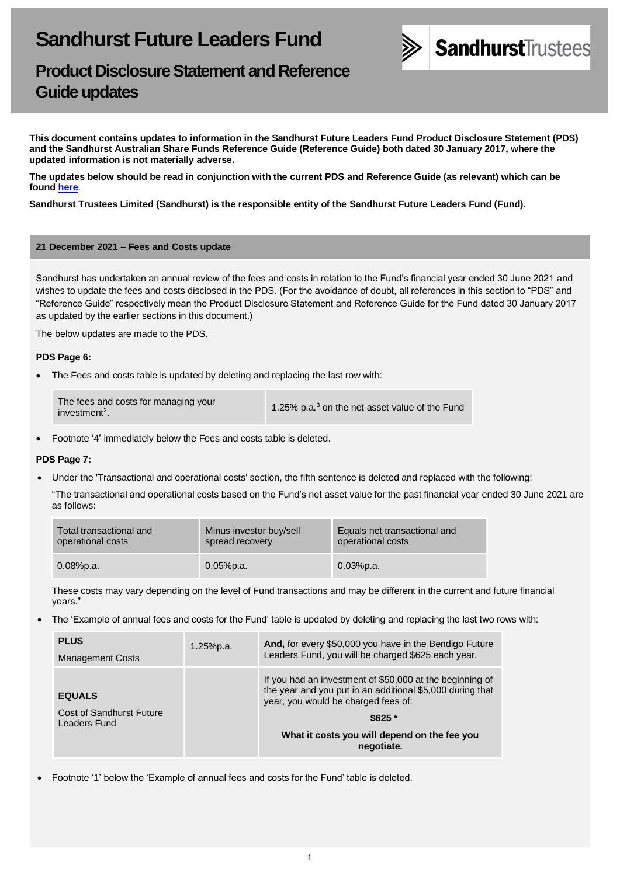

# **Product Disclosure Statement and Reference Guide updates**

**This document contains updates to information in the Sandhurst Future Leaders Fund Product Disclosure Statement (PDS) and the Sandhurst Australian Share Funds Reference Guide (Reference Guide) both dated 30 January 2017, where the updated information is not materially adverse.** 

**The updates below should be read in conjunction with the current PDS and Reference Guide (as relevant) which can be found [here](https://www.bendigobank.com.au/managedfundsforms)**.

**Sandhurst Trustees Limited (Sandhurst) is the responsible entity of the Sandhurst Future Leaders Fund (Fund).**

#### **21 December 2021 – Fees and Costs update**

Sandhurst has undertaken an annual review of the fees and costs in relation to the Fund's financial year ended 30 June 2021 and wishes to update the fees and costs disclosed in the PDS. (For the avoidance of doubt, all references in this section to "PDS" and "Reference Guide" respectively mean the Product Disclosure Statement and Reference Guide for the Fund dated 30 January 2017 as updated by the earlier sections in this document.)

The below updates are made to the PDS.

### **PDS Page 6:**

The Fees and costs table is updated by deleting and replacing the last row with:

| The fees and costs for managing your<br>investment <sup>2</sup> . | 1.25% p.a. <sup>3</sup> on the net asset value of the Fund |
|-------------------------------------------------------------------|------------------------------------------------------------|
|-------------------------------------------------------------------|------------------------------------------------------------|

• Footnote '4' immediately below the Fees and costs table is deleted.

# **PDS Page 7:**

• Under the 'Transactional and operational costs' section, the fifth sentence is deleted and replaced with the following:

"The transactional and operational costs based on the Fund's net asset value for the past financial year ended 30 June 2021 are as follows:

| Total transactional and | Minus investor buy/sell | Equals net transactional and |
|-------------------------|-------------------------|------------------------------|
| operational costs       | spread recovery         | operational costs            |
| $0.08%$ p.a.            | $0.05%$ p.a.            | $0.03%$ p.a.                 |

These costs may vary depending on the level of Fund transactions and may be different in the current and future financial years."

• The 'Example of annual fees and costs for the Fund' table is updated by deleting and replacing the last two rows with:

| <b>PLUS</b><br><b>Management Costs</b>                    | $1.25%$ p.a. | And, for every \$50,000 you have in the Bendigo Future<br>Leaders Fund, you will be charged \$625 each year.                                                                                                                             |
|-----------------------------------------------------------|--------------|------------------------------------------------------------------------------------------------------------------------------------------------------------------------------------------------------------------------------------------|
| <b>EQUALS</b><br>Cost of Sandhurst Future<br>Leaders Fund |              | If you had an investment of \$50,000 at the beginning of<br>the year and you put in an additional \$5,000 during that<br>year, you would be charged fees of:<br>$$625$ $*$<br>What it costs you will depend on the fee you<br>negotiate. |

• Footnote '1' below the 'Example of annual fees and costs for the Fund' table is deleted.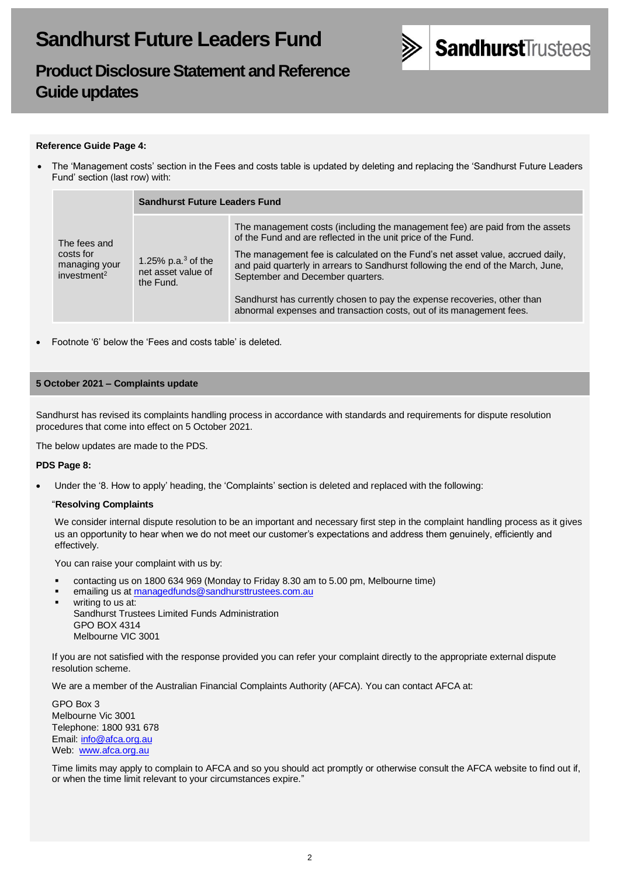

# **Product Disclosure Statement and Reference Guide updates**

## **Reference Guide Page 4:**

• The 'Management costs' section in the Fees and costs table is updated by deleting and replacing the 'Sandhurst Future Leaders Fund' section (last row) with:

|                                                                                                                                   | <b>Sandhurst Future Leaders Fund</b>                                                                                                                                                                   |                                                                                                                                              |
|-----------------------------------------------------------------------------------------------------------------------------------|--------------------------------------------------------------------------------------------------------------------------------------------------------------------------------------------------------|----------------------------------------------------------------------------------------------------------------------------------------------|
| The fees and<br>costs for<br>1.25% p.a. $3$ of the<br>managing your<br>net asset value of<br>investment <sup>2</sup><br>the Fund. |                                                                                                                                                                                                        | The management costs (including the management fee) are paid from the assets<br>of the Fund and are reflected in the unit price of the Fund. |
|                                                                                                                                   | The management fee is calculated on the Fund's net asset value, accrued daily,<br>and paid quarterly in arrears to Sandhurst following the end of the March, June,<br>September and December quarters. |                                                                                                                                              |
|                                                                                                                                   | Sandhurst has currently chosen to pay the expense recoveries, other than<br>abnormal expenses and transaction costs, out of its management fees.                                                       |                                                                                                                                              |

• Footnote '6' below the 'Fees and costs table' is deleted.

### **5 October 2021 – Complaints update**

Sandhurst has revised its complaints handling process in accordance with standards and requirements for dispute resolution procedures that come into effect on 5 October 2021.

The below updates are made to the PDS.

#### **PDS Page 8:**

• Under the '8. How to apply' heading, the 'Complaints' section is deleted and replaced with the following:

#### "**Resolving Complaints**

We consider internal dispute resolution to be an important and necessary first step in the complaint handling process as it gives us an opportunity to hear when we do not meet our customer's expectations and address them genuinely, efficiently and effectively.

You can raise your complaint with us by:

- contacting us on 1800 634 969 (Monday to Friday 8.30 am to 5.00 pm, Melbourne time)
- emailing us a[t managedfunds@sandhursttrustees.com.au](mailto:managedfunds@sandhursttrustees.com.au)
- writing to us at: Sandhurst Trustees Limited Funds Administration GPO BOX 4314 Melbourne VIC 3001

If you are not satisfied with the response provided you can refer your complaint directly to the appropriate external dispute resolution scheme.

We are a member of the Australian Financial Complaints Authority (AFCA). You can contact AFCA at:

GPO Box 3 Melbourne Vic 3001 Telephone: 1800 931 678 Email[: info@afca.org.au](mailto:info@afca.org.au) Web: [www.afca.org.au](https://www.afca.org.au/)

Time limits may apply to complain to AFCA and so you should act promptly or otherwise consult the AFCA website to find out if, or when the time limit relevant to your circumstances expire."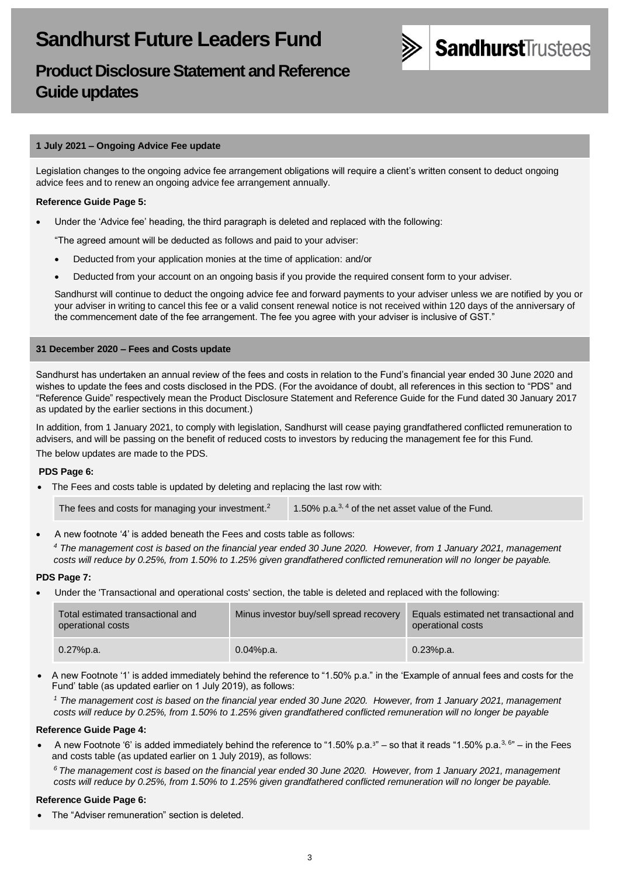

# **Product Disclosure Statement and Reference Guide updates**

# **1 July 2021 – Ongoing Advice Fee update**

Legislation changes to the ongoing advice fee arrangement obligations will require a client's written consent to deduct ongoing advice fees and to renew an ongoing advice fee arrangement annually.

# **Reference Guide Page 5:**

• Under the 'Advice fee' heading, the third paragraph is deleted and replaced with the following:

"The agreed amount will be deducted as follows and paid to your adviser:

- Deducted from your application monies at the time of application: and/or
- Deducted from your account on an ongoing basis if you provide the required consent form to your adviser.

Sandhurst will continue to deduct the ongoing advice fee and forward payments to your adviser unless we are notified by you or your adviser in writing to cancel this fee or a valid consent renewal notice is not received within 120 days of the anniversary of the commencement date of the fee arrangement. The fee you agree with your adviser is inclusive of GST."

# **31 December 2020 – Fees and Costs update**

Sandhurst has undertaken an annual review of the fees and costs in relation to the Fund's financial year ended 30 June 2020 and wishes to update the fees and costs disclosed in the PDS. (For the avoidance of doubt, all references in this section to "PDS" and "Reference Guide" respectively mean the Product Disclosure Statement and Reference Guide for the Fund dated 30 January 2017 as updated by the earlier sections in this document.)

In addition, from 1 January 2021, to comply with legislation, Sandhurst will cease paying grandfathered conflicted remuneration to advisers, and will be passing on the benefit of reduced costs to investors by reducing the management fee for this Fund.

The below updates are made to the PDS.

# **PDS Page 6:**

The Fees and costs table is updated by deleting and replacing the last row with:

The fees and costs for managing your investment.<sup>2</sup> 1.50% p.a.<sup>3, 4</sup> of the net asset value of the Fund.

- A new footnote '4' is added beneath the Fees and costs table as follows:
- *<sup>4</sup> The management cost is based on the financial year ended 30 June 2020. However, from 1 January 2021, management costs will reduce by 0.25%, from 1.50% to 1.25% given grandfathered conflicted remuneration will no longer be payable.*

# **PDS Page 7:**

• Under the 'Transactional and operational costs' section, the table is deleted and replaced with the following:

| Total estimated transactional and<br>operational costs | Minus investor buy/sell spread recovery | Equals estimated net transactional and<br>operational costs |
|--------------------------------------------------------|-----------------------------------------|-------------------------------------------------------------|
| $0.27%$ p.a.                                           | 0.04%p.a.                               | $0.23%$ p.a.                                                |

• A new Footnote '1' is added immediately behind the reference to "1.50% p.a." in the 'Example of annual fees and costs for the Fund' table (as updated earlier on 1 July 2019), as follows:

*<sup>1</sup> The management cost is based on the financial year ended 30 June 2020. However, from 1 January 2021, management costs will reduce by 0.25%, from 1.50% to 1.25% given grandfathered conflicted remuneration will no longer be payable*

# **Reference Guide Page 4:**

• A new Footnote '6' is added immediately behind the reference to "1.50% p.a. $3"$  – so that it reads "1.50% p.a. $3,6"$  – in the Fees and costs table (as updated earlier on 1 July 2019), as follows:

*<sup>6</sup>The management cost is based on the financial year ended 30 June 2020. However, from 1 January 2021, management costs will reduce by 0.25%, from 1.50% to 1.25% given grandfathered conflicted remuneration will no longer be payable.*

# **Reference Guide Page 6:**

The "Adviser remuneration" section is deleted.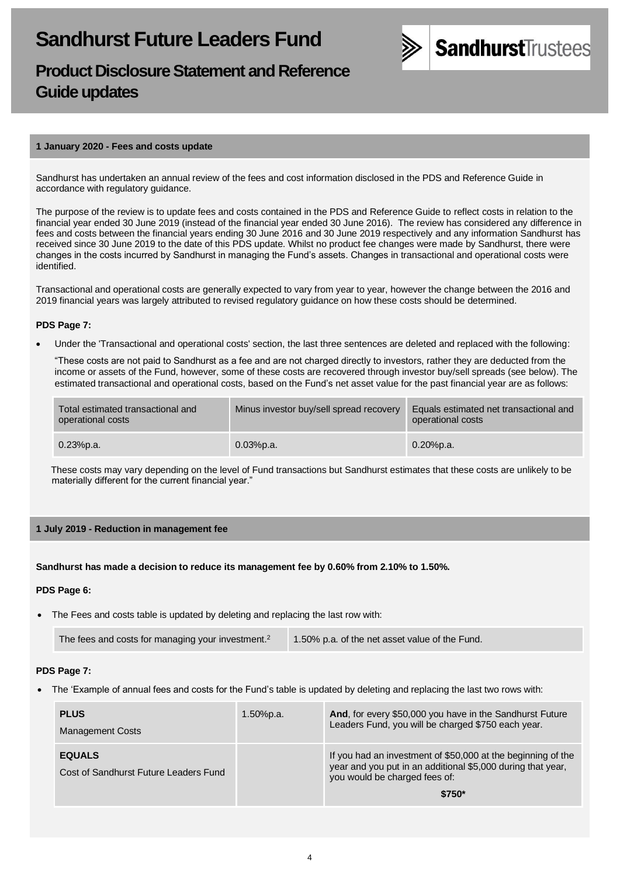

# **Product Disclosure Statement and Reference Guide updates**

#### **1 January 2020 - Fees and costs update**

Sandhurst has undertaken an annual review of the fees and cost information disclosed in the PDS and Reference Guide in accordance with regulatory guidance.

The purpose of the review is to update fees and costs contained in the PDS and Reference Guide to reflect costs in relation to the financial year ended 30 June 2019 (instead of the financial year ended 30 June 2016). The review has considered any difference in fees and costs between the financial years ending 30 June 2016 and 30 June 2019 respectively and any information Sandhurst has received since 30 June 2019 to the date of this PDS update. Whilst no product fee changes were made by Sandhurst, there were changes in the costs incurred by Sandhurst in managing the Fund's assets. Changes in transactional and operational costs were identified.

Transactional and operational costs are generally expected to vary from year to year, however the change between the 2016 and 2019 financial years was largely attributed to revised regulatory guidance on how these costs should be determined.

### **PDS Page 7:**

• Under the 'Transactional and operational costs' section, the last three sentences are deleted and replaced with the following:

"These costs are not paid to Sandhurst as a fee and are not charged directly to investors, rather they are deducted from the income or assets of the Fund, however, some of these costs are recovered through investor buy/sell spreads (see below). The estimated transactional and operational costs, based on the Fund's net asset value for the past financial year are as follows:

| Total estimated transactional and<br>operational costs | Minus investor buy/sell spread recovery | Equals estimated net transactional and<br>operational costs |
|--------------------------------------------------------|-----------------------------------------|-------------------------------------------------------------|
| $0.23%$ p.a.                                           | 0.03%p.a.                               | $0.20%$ p.a.                                                |

These costs may vary depending on the level of Fund transactions but Sandhurst estimates that these costs are unlikely to be materially different for the current financial year."

### **1 July 2019 - Reduction in management fee**

#### **Sandhurst has made a decision to reduce its management fee by 0.60% from 2.10% to 1.50%.**

#### **PDS Page 6:**

The Fees and costs table is updated by deleting and replacing the last row with:

| The fees and costs for managing your investment. <sup>2</sup> | 1.50% p.a. of the net asset value of the Fund. |
|---------------------------------------------------------------|------------------------------------------------|
|---------------------------------------------------------------|------------------------------------------------|

#### **PDS Page 7:**

• The 'Example of annual fees and costs for the Fund's table is updated by deleting and replacing the last two rows with:

| <b>PLUS</b><br><b>Management Costs</b>                 | $1.50\%$ p.a. | And, for every \$50,000 you have in the Sandhurst Future<br>Leaders Fund, you will be charged \$750 each year.                                                          |
|--------------------------------------------------------|---------------|-------------------------------------------------------------------------------------------------------------------------------------------------------------------------|
| <b>EQUALS</b><br>Cost of Sandhurst Future Leaders Fund |               | If you had an investment of \$50,000 at the beginning of the<br>year and you put in an additional \$5,000 during that year,<br>you would be charged fees of:<br>$$750*$ |